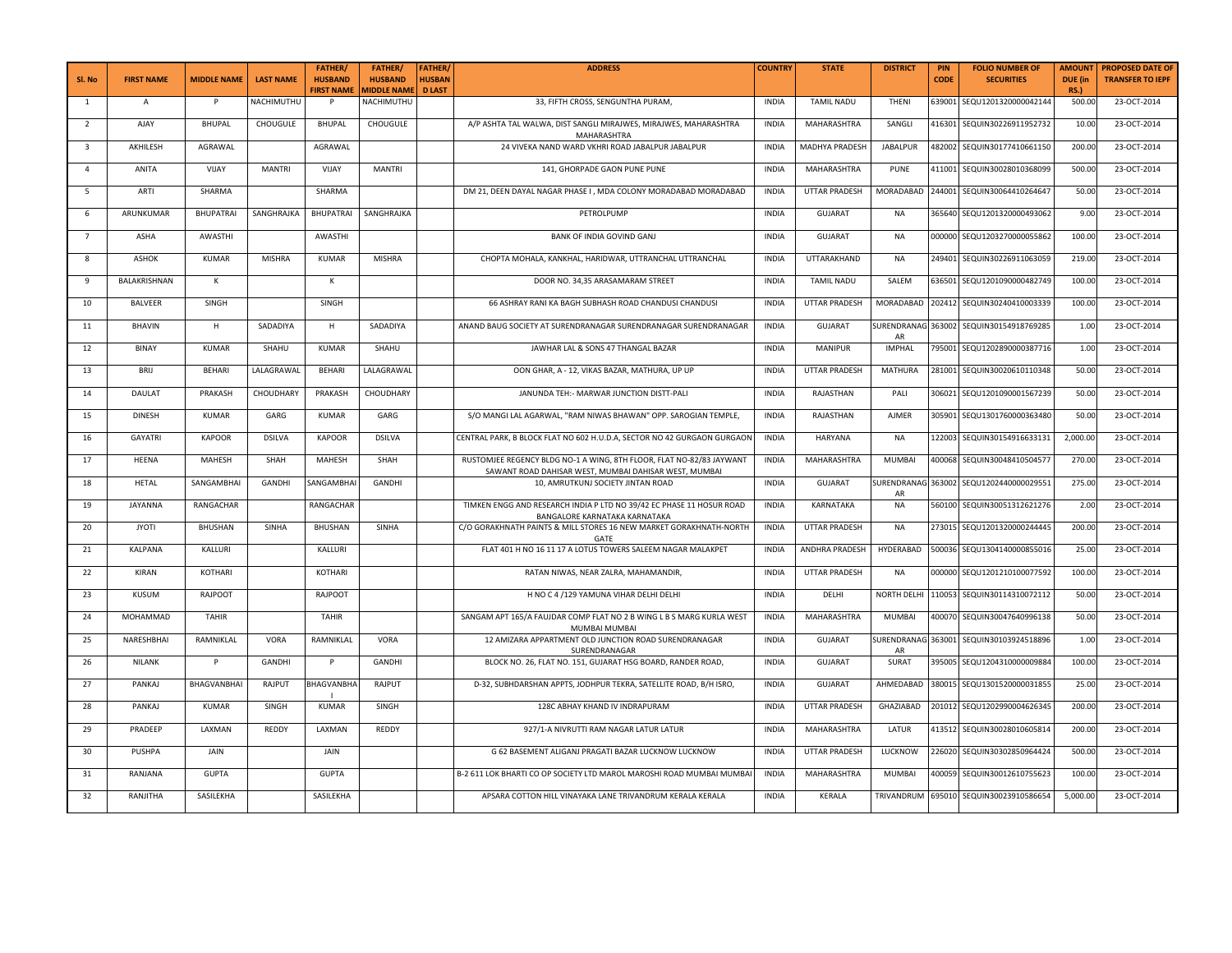| Sl. No         | <b>FIRST NAME</b> | <b>MIDDLE NAME</b> | <b>LAST NAME</b> | <b>FATHER/</b><br><b>HUSBAND</b><br><b>FIRST NAME</b> | <b>FATHER/</b><br><b>HUSBAND</b><br><b>AIDDLE NAMI</b> | <b>FATHER</b><br><b>HUSBAN</b><br><b>D LAST</b> | <b>ADDRESS</b>                                                                                                                | <b>COUNTRY</b> | <b>STATE</b>         | <b>DISTRICT</b> | PIN<br>CODE | <b>FOLIO NUMBER OF</b><br><b>SECURITIES</b> | <b>AMOUN1</b><br>DUE (in<br><b>RS.)</b> | <b>PROPOSED DATE OF</b><br><b>TRANSFER TO IEPF</b> |
|----------------|-------------------|--------------------|------------------|-------------------------------------------------------|--------------------------------------------------------|-------------------------------------------------|-------------------------------------------------------------------------------------------------------------------------------|----------------|----------------------|-----------------|-------------|---------------------------------------------|-----------------------------------------|----------------------------------------------------|
| $\overline{1}$ | $\mathsf{A}$      | P                  | NACHIMUTHU       | P                                                     | NACHIMUTHU                                             |                                                 | 33, FIFTH CROSS, SENGUNTHA PURAM,                                                                                             | <b>INDIA</b>   | <b>TAMIL NADU</b>    | THENI           |             | 639001 SEQU1201320000042144                 | 500.0                                   | 23-OCT-2014                                        |
| $\overline{2}$ | AJAY              | <b>BHUPAL</b>      | CHOUGULE         | <b>BHUPAL</b>                                         | CHOUGULE                                               |                                                 | A/P ASHTA TAL WALWA, DIST SANGLI MIRAJWES, MIRAJWES, MAHARASHTRA<br>MAHARASHTRA                                               | <b>INDIA</b>   | MAHARASHTRA          | SANGLI          | 416301      | SEQUIN30226911952732                        | 10.00                                   | 23-OCT-2014                                        |
| 3              | AKHILESH          | AGRAWAL            |                  | AGRAWAL                                               |                                                        |                                                 | 24 VIVEKA NAND WARD VKHRI ROAD JABALPUR JABALPUR                                                                              | <b>INDIA</b>   | MADHYA PRADESH       | <b>JABALPUR</b> | 482002      | SEQUIN30177410661150                        | 200.0                                   | 23-OCT-2014                                        |
| $\overline{4}$ | ANITA             | VIJAY              | <b>MANTRI</b>    | VIJAY                                                 | <b>MANTRI</b>                                          |                                                 | 141, GHORPADE GAON PUNE PUNE                                                                                                  | <b>INDIA</b>   | MAHARASHTRA          | PUNE            |             | 411001 SEQUIN30028010368099                 | 500.00                                  | 23-OCT-2014                                        |
| 5              | ARTI              | SHARMA             |                  | SHARMA                                                |                                                        |                                                 | DM 21, DEEN DAYAL NAGAR PHASE I, MDA COLONY MORADABAD MORADABAD                                                               | <b>INDIA</b>   | UTTAR PRADESH        |                 |             | MORADABAD 244001 SEQUIN30064410264647       | 50.00                                   | 23-OCT-2014                                        |
| 6              | ARUNKUMAR         | <b>BHUPATRAI</b>   | SANGHRAJKA       | <b>BHUPATRAI</b>                                      | SANGHRAJKA                                             |                                                 | PETROLPUMP                                                                                                                    | <b>INDIA</b>   | GUJARAT              | NA              | 365640      | SEQU1201320000493062                        | 9.00                                    | 23-OCT-2014                                        |
| $\overline{7}$ | ASHA              | AWASTHI            |                  | AWASTHI                                               |                                                        |                                                 | BANK OF INDIA GOVIND GANJ                                                                                                     | <b>INDIA</b>   | <b>GUJARAT</b>       | NA              | 000000      | SEQU1203270000055862                        | 100.00                                  | 23-OCT-2014                                        |
| 8              | <b>ASHOK</b>      | KUMAR              | <b>MISHRA</b>    | KUMAR                                                 | <b>MISHRA</b>                                          |                                                 | CHOPTA MOHALA, KANKHAL, HARIDWAR, UTTRANCHAL UTTRANCHAL                                                                       | <b>INDIA</b>   | UTTARAKHAND          | NA              | 249401      | SEQUIN30226911063059                        | 219.0                                   | 23-OCT-2014                                        |
| 9              | BALAKRISHNAN      | К                  |                  | κ                                                     |                                                        |                                                 | DOOR NO. 34,35 ARASAMARAM STREET                                                                                              | <b>INDIA</b>   | <b>TAMIL NADU</b>    | SALEM           |             | 636501 SEQU1201090000482749                 | 100.00                                  | 23-OCT-2014                                        |
| 10             | <b>BALVEER</b>    | SINGH              |                  | SINGH                                                 |                                                        |                                                 | 66 ASHRAY RANI KA BAGH SUBHASH ROAD CHANDUSI CHANDUSI                                                                         | <b>INDIA</b>   | UTTAR PRADESH        | MORADABAD       |             | 202412 SEQUIN30240410003339                 | 100.0                                   | 23-OCT-2014                                        |
| 11             | BHAVIN            | H                  | SADADIYA         | н                                                     | SADADIYA                                               |                                                 | ANAND BAUG SOCIETY AT SURENDRANAGAR SURENDRANAGAR SURENDRANAGAR                                                               | <b>INDIA</b>   | <b>GUJARAT</b>       | AR              |             | SURENDRANAG 363002 SEQUIN30154918769285     | 1.00                                    | 23-OCT-2014                                        |
| 12             | BINAY             | <b>KUMAR</b>       | SHAHU            | <b>KUMAR</b>                                          | SHAHU                                                  |                                                 | JAWHAR LAL & SONS 47 THANGAL BAZAR                                                                                            | <b>INDIA</b>   | <b>MANIPUR</b>       | <b>IMPHAL</b>   |             | 795001 SEQU1202890000387716                 | 1.00                                    | 23-OCT-2014                                        |
| 13             | BRIJ              | <b>BEHARI</b>      | LALAGRAWAL       | <b>BEHARI</b>                                         | LALAGRAWAL                                             |                                                 | OON GHAR, A - 12, VIKAS BAZAR, MATHURA, UP UP                                                                                 | <b>INDIA</b>   | <b>UTTAR PRADESH</b> | MATHURA         |             | 281001 SEQUIN30020610110348                 | 50.00                                   | 23-OCT-2014                                        |
| 14             | DAULAT            | PRAKASH            | CHOUDHARY        | PRAKASH                                               | CHOUDHARY                                              |                                                 | JANUNDA TEH: - MARWAR JUNCTION DISTT-PALI                                                                                     | <b>INDIA</b>   | RAJASTHAN            | PALI            | 306021      | SEQU1201090001567239                        | 50.00                                   | 23-OCT-2014                                        |
| 15             | <b>DINESH</b>     | <b>KUMAR</b>       | GARG             | <b>KUMAR</b>                                          | GARG                                                   |                                                 | S/O MANGI LAL AGARWAL, "RAM NIWAS BHAWAN" OPP. SAROGIAN TEMPLE,                                                               | <b>INDIA</b>   | RAJASTHAN            | AJMER           | 305901      | SEQU1301760000363480                        | 50.00                                   | 23-OCT-2014                                        |
| 16             | <b>GAYATRI</b>    | <b>KAPOOR</b>      | <b>DSILVA</b>    | <b>KAPOOR</b>                                         | <b>DSILVA</b>                                          |                                                 | CENTRAL PARK, B BLOCK FLAT NO 602 H.U.D.A, SECTOR NO 42 GURGAON GURGAON                                                       | <b>INDIA</b>   | <b>HARYANA</b>       | NA              | 122003      | SEQUIN30154916633131                        | 2,000.00                                | 23-OCT-2014                                        |
| 17             | HEENA             | MAHESH             | SHAH             | MAHESH                                                | SHAH                                                   |                                                 | RUSTOMJEE REGENCY BLDG NO-1 A WING, 8TH FLOOR, FLAT NO-82/83 JAYWANT<br>SAWANT ROAD DAHISAR WEST, MUMBAI DAHISAR WEST, MUMBAI | <b>INDIA</b>   | MAHARASHTRA          | MUMBAI          |             | 400068 SEQUIN30048410504577                 | 270.00                                  | 23-OCT-2014                                        |
| 18             | <b>HETAL</b>      | SANGAMBHAI         | GANDHI           | SANGAMBHAI                                            | GANDHI                                                 |                                                 | 10, AMRUTKUNJ SOCIETY JINTAN ROAD                                                                                             | <b>INDIA</b>   | <b>GUJARAT</b>       | AR              |             | SURENDRANAG 363002 SEQU1202440000029551     | 275.0                                   | 23-OCT-2014                                        |
| 19             | JAYANNA           | RANGACHAR          |                  | RANGACHAR                                             |                                                        |                                                 | TIMKEN ENGG AND RESEARCH INDIA P LTD NO 39/42 EC PHASE 11 HOSUR ROAD<br>BANGALORE KARNATAKA KARNATAKA                         | <b>INDIA</b>   | KARNATAKA            | <b>NA</b>       | 560100      | SEQUIN30051312621276                        | 2.00                                    | 23-OCT-2014                                        |
| 20             | <b>JYOTI</b>      | <b>BHUSHAN</b>     | SINHA            | BHUSHAN                                               | SINHA                                                  |                                                 | C/O GORAKHNATH PAINTS & MILL STORES 16 NEW MARKET GORAKHNATH-NORTH<br>GATE                                                    | INDIA          | UTTAR PRADESH        | NA              | 273015      | SEQU1201320000244445                        | 200.00                                  | 23-OCT-2014                                        |
| 21             | KALPANA           | KALLURI            |                  | KALLURI                                               |                                                        |                                                 | FLAT 401 H NO 16 11 17 A LOTUS TOWERS SALEEM NAGAR MALAKPET                                                                   | <b>INDIA</b>   | ANDHRA PRADESH       | HYDERABAD       | 500036      | SEQU1304140000855016                        | 25.00                                   | 23-OCT-2014                                        |
| 22             | KIRAN             | KOTHARI            |                  | KOTHARI                                               |                                                        |                                                 | RATAN NIWAS, NEAR ZALRA, MAHAMANDIR,                                                                                          | <b>INDIA</b>   | UTTAR PRADESH        | NA              |             | 000000 SEQU1201210100077592                 | 100.00                                  | 23-OCT-2014                                        |
| 23             | KUSUM             | RAJPOOT            |                  | RAJPOOT                                               |                                                        |                                                 | H NO C 4 /129 YAMUNA VIHAR DELHI DELHI                                                                                        | <b>INDIA</b>   | DELHI                | NORTH DELHI     | 110053      | SEQUIN30114310072112                        | 50.00                                   | 23-OCT-2014                                        |
| 24             | MOHAMMAD          | TAHIR              |                  | TAHIR                                                 |                                                        |                                                 | SANGAM APT 165/A FAUJDAR COMP FLAT NO 2 B WING L B S MARG KURLA WEST<br>MUMBAI MUMBAI                                         | <b>INDIA</b>   | MAHARASHTRA          | <b>MUMBAI</b>   | 400070      | SEQUIN30047640996138                        | 50.00                                   | 23-OCT-2014                                        |
| 25             | NARESHBHAI        | RAMNIKLAL          | VORA             | RAMNIKLAL                                             | VORA                                                   |                                                 | 12 AMIZARA APPARTMENT OLD JUNCTION ROAD SURENDRANAGAR<br>SURENDRANAGAR                                                        | <b>INDIA</b>   | GUJARAT              | AR              |             | SURENDRANAG 363001 SEQUIN30103924518896     | 1.00                                    | 23-OCT-2014                                        |
| 26             | NILANK            | P                  | GANDHI           | P                                                     | GANDHI                                                 |                                                 | BLOCK NO. 26, FLAT NO. 151, GUJARAT HSG BOARD, RANDER ROAD,                                                                   | <b>INDIA</b>   | <b>GUJARAT</b>       | SURAT           |             | 395005 SEQU1204310000009884                 | 100.00                                  | 23-OCT-2014                                        |
| 27             | PANKAJ            | <b>BHAGVANBHAI</b> | RAJPUT           | <b>BHAGVANBHA</b>                                     | RAJPUT                                                 |                                                 | D-32, SUBHDARSHAN APPTS, JODHPUR TEKRA, SATELLITE ROAD, B/H ISRO,                                                             | <b>INDIA</b>   | GUJARAT              | AHMEDABAD       | 380015      | SEQU1301520000031855                        | 25.00                                   | 23-OCT-2014                                        |
| 28             | PANKAJ            | <b>KUMAR</b>       | SINGH            | KUMAR                                                 | SINGH                                                  |                                                 | 128C ABHAY KHAND IV INDRAPURAM                                                                                                | <b>INDIA</b>   | UTTAR PRADESH        | GHAZIABAD       |             | 201012 SEQU1202990004626345                 | 200.00                                  | 23-OCT-2014                                        |
| 29             | PRADEEP           | LAXMAN             | REDDY            | LAXMAN                                                | REDDY                                                  |                                                 | 927/1-A NIVRUTTI RAM NAGAR LATUR LATUR                                                                                        | <b>INDIA</b>   | MAHARASHTRA          | LATUR           |             | 413512 SEQUIN30028010605814                 | 200.0                                   | 23-OCT-2014                                        |
| 30             | PUSHPA            | JAIN               |                  | JAIN                                                  |                                                        |                                                 | G 62 BASEMENT ALIGANJ PRAGATI BAZAR LUCKNOW LUCKNOW                                                                           | <b>INDIA</b>   | <b>UTTAR PRADESH</b> | LUCKNOW         |             | 226020 SEQUIN30302850964424                 | 500.00                                  | 23-OCT-2014                                        |
| 31             | RANJANA           | <b>GUPTA</b>       |                  | <b>GUPTA</b>                                          |                                                        |                                                 | B-2 611 LOK BHARTI CO OP SOCIETY LTD MAROL MAROSHI ROAD MUMBAI MUMBAI                                                         | <b>INDIA</b>   | <b>MAHARASHTRA</b>   | <b>MUMBAI</b>   | 400059      | SEQUIN30012610755623                        | 100.0                                   | 23-OCT-2014                                        |
| 32             | RANJITHA          | SASILEKHA          |                  | SASILEKHA                                             |                                                        |                                                 | APSARA COTTON HILL VINAYAKA LANE TRIVANDRUM KERALA KERALA                                                                     | <b>INDIA</b>   | KERALA               | TRIVANDRUM      |             | 695010 SEQUIN30023910586654                 | 5,000.00                                | 23-OCT-2014                                        |